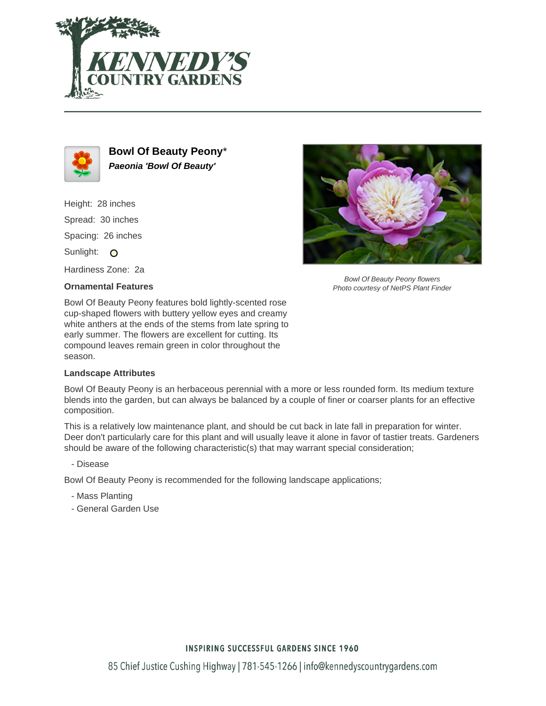



**Bowl Of Beauty Peony**\* **Paeonia 'Bowl Of Beauty'**

Height: 28 inches Spread: 30 inches Spacing: 26 inches Sunlight: O Hardiness Zone: 2a

## **Ornamental Features**

Bowl Of Beauty Peony flowers Photo courtesy of NetPS Plant Finder

Bowl Of Beauty Peony features bold lightly-scented rose cup-shaped flowers with buttery yellow eyes and creamy white anthers at the ends of the stems from late spring to early summer. The flowers are excellent for cutting. Its compound leaves remain green in color throughout the season.

## **Landscape Attributes**

Bowl Of Beauty Peony is an herbaceous perennial with a more or less rounded form. Its medium texture blends into the garden, but can always be balanced by a couple of finer or coarser plants for an effective composition.

This is a relatively low maintenance plant, and should be cut back in late fall in preparation for winter. Deer don't particularly care for this plant and will usually leave it alone in favor of tastier treats. Gardeners should be aware of the following characteristic(s) that may warrant special consideration;

- Disease

Bowl Of Beauty Peony is recommended for the following landscape applications;

- Mass Planting
- General Garden Use